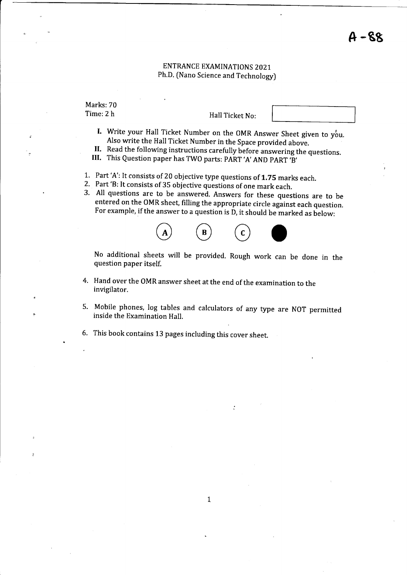### ENTRANCE EXAMINATIONS 2021 Ph.D. (Nano Science and Technology)

Marks: 70 Time:2 h

Hall Ticket No:

- I. Write your Hall Ticket Number on the OMR Answer Sheet given to you.<br>Also write the Hall Ticket Number in the Space provided above.
- II. Read the following instructions carefully before answering the questions.<br>III. This Question paper has TWO parts: PART 'A' AND PART 'B'
- 
- 
- 
- 1. Part'A': It consists of 20 objective type questions of 1.75 marks each.<br>2. Part 'B: It consists of 35 objective questions of one mark each.<br>3. All questions are to be answered. Answers for these questions are to be entered on the OMR sheet, filling the appropriate circle against each question. For example, if the answer to a question is D, it should be marked as below:



No additional sheets will be provided. Rough work can be done in the question paper itself.

- Hand over the oMR answer sheet at the end of the examination to the 4. invigilator.
- 5. Mobile phones, log tables and calculators of any type are NOT permitted inside the Examination Hall.

 $\ddot{\cdot}$ 

This book contains 13 pages including this cover sheet.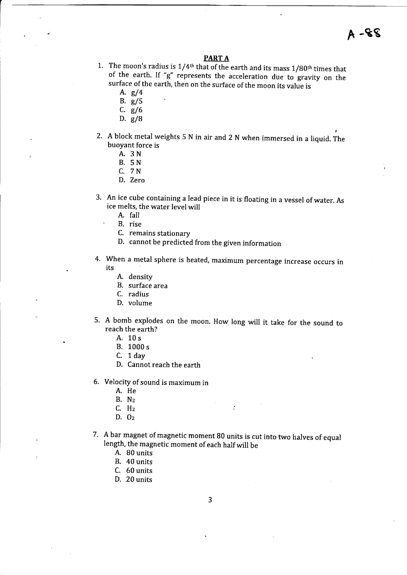$A - S S$ 

#### **PARTA**

1. The moon's radius is  $1/4$ <sup>th</sup> that of the earth and its mass  $1/80$ <sup>th</sup> times that of the earth. If "g" represents the acceleration due to gravity on the surface of the earth, then on the surface of the moon its value is  $A. g/4$ 

- 
- B. e/5
- c. s/6
- D.  $g/8$
- 2. A block metal weights 5 N in air and 2 N when immersed in a liquid. The buoyant force is
	- A. 3N
	- B. 5N
	- C. 7N
	- D. Zero
- 3. An ice cube containing a lead piece in it is floating in a vessel of water. As ice melts, the water level will
	-
	- B. rise
	- C. remains stationary
	- D. cannot be predicted from the given information
- 4. When a metal sphere is heated, maximum percentage increase occurs in its
	- A. density
	- B. surface area
	- C. radius
	- D. volume
- A bomb explodes on the moon. How long will it take for the sound to reach the earth?
	- A. 10s
	- B. 1000 <sup>s</sup>
	- C. 1 day
	- D. Cannot reach the earth
- Velocity of sound is maximum in
	- A. He
	- B. Nz
	- C. Hz
	- D. Oz
- 7. A bar magnet of magnetic moment B0 units is cut into two halves of equal Iength, the magnetic moment of each half will be

- A. B0 units
- B. 40 units
- C. 60 units
- D. 20 units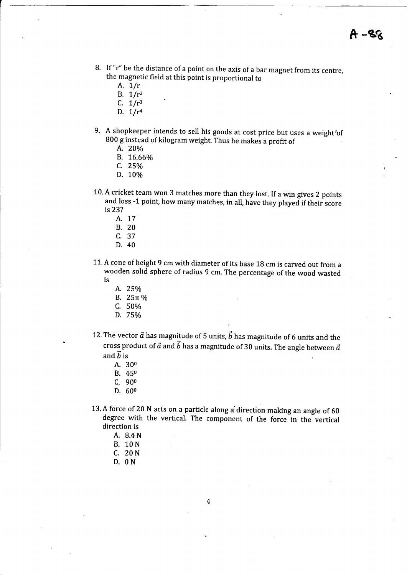- B. If "r" be the distance of a point on the axis of a bar magnet from its centre, the magnetic field at this point is proportional to
	- A.  $1/r$
	- B.  $1/r^2$
	- C.  $1/r^3$
	- D.  $1/r<sup>4</sup>$
- 9. A shopkeeper intends to sell his goods at cost price but uses a weight'of <sup>800</sup>g instead of kilogram weight. Thus he makes a profit of A. 20%
	-
	- B. 76.660/o
	- c. 25%
	- D. 10%
- 10. A cricket team won 3 matches more than they lost. If a win gives 2 points and loss -1 point, how many matches, in all, have they played if their score is 23?
	- A. <sup>17</sup>
	- B. 20
	- c. <sup>37</sup>
	- D. 40
- 11. A cone of height 9 cm with diameter of its base 18 cm is carved out from <sup>a</sup> wooden solid sphere of radius 9 cm. The percentage of the wood wasted is
	- A. 25%
	- B.  $25\pi$ %
	- C. 50o/o
	- D. 75%
- 12. The vector  $\vec{a}$  has magnitude of 5 units,  $\vec{b}$  has magnitude of 6 units and the cross product of  $\vec{a}$  and  $\vec{b}$  has a magnitude of 30 units. The angle between  $\vec{a}$ and  $\vec{b}$  is
	- A. <sup>300</sup>
	- B. <sup>450</sup>
	- c. <sup>900</sup>
	- D. 60<sup>0</sup>
- 13. A force of 20 N acts on a particle along a direction making an angle of 60 degree with the vertical. The component of the force in the vertical direction is
	- A. 8.4 <sup>N</sup>
	- B. 10N
	- C. 20N
	- D. ON

 $\overline{4}$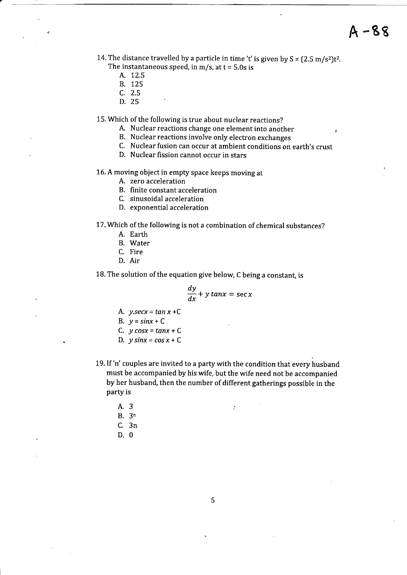14. The distance travelled by a particle in time 't' is given by  $S = (2.5 \text{ m/s}^2)t^2$ . The instantaneous speed, in  $m/s$ , at  $t = 5.0s$  is

- A. 72.5
- B. 725
- c. 2.5
- D. 25

15. Which of the following is true about nuclear reactions?

- A. Nuclear reactions change one element into another
- B. Nuclear reactions involve only electron exchanges
- C. Nuclear fusion can occur at ambient conditions on earth's crust
- D. Nuclear fission cannot occur in stars

16. A moving object in empty space keeps moving at

- A. zero acceleration
- B. finite constant acceleration
- C. sinusoidal acceleration
- D. exponential acceleration

17. Which of the following is not a combination of chemical substances?

- A. Earth
- B. Water
- C. Fire
- D. Air

18. The solution of the equation give below, C being a constant, is

$$
\frac{dy}{dx} + y \tan x = \sec x
$$

- A.  $y \text{.} \text{sec}x = \tan x + C$
- B.  $y = sinx + C$
- C.  $y \cos x = \tan x + C$
- D.  $y \sin x = \cos x + C$
- 19. If 'n' couples are invited to a party with the condition that every husband must be accompanied by his wife, but the wife need not be accompanied by her husband, then the number of different gatherings possible in the party is

- A.3
- B. 3n
- C. 3n
- D.0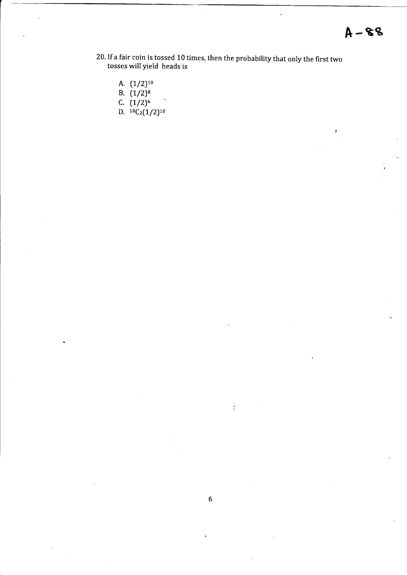- 20. If a fair coin is tossed 10 times, then the probability that only the first two tosses will yield heads is
	- A.  $(1/2)^{10}$
	- B.  $(1/2)^8$
	- C.  $(1/2)^6$
	- D.  ${}^{10}C_2(1/2){}^{10}$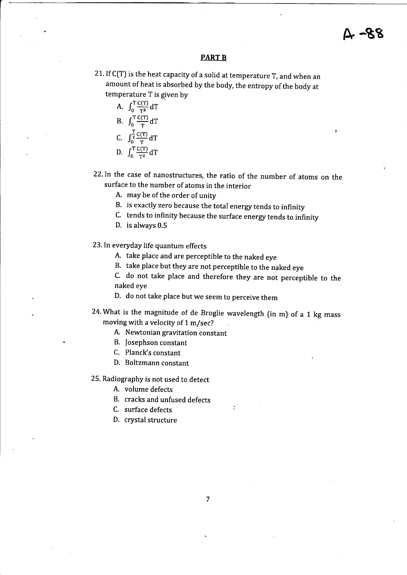#### PART B

21. If  $C(T)$  is the heat capacity of a solid at temperature  $T$ , and when an amount of heat is absorbed by the body, the entropy of the body at temperature T is given by

A.  $\int_0^T \frac{C(T)}{T^3} dT$ B.  $\int_0^T \frac{C(T)}{T} d$ c.  $\int_0^{\frac{T}{2}} \frac{C(T)}{T} dT$ 

D. 
$$
\int_0^T \frac{C(T)}{T^2} dT
$$

22.In the case of nanostructures, the ratio of the number of atoms on the surface to the number of atoms in the interior

A. may be of the order of unity

B. is exactly zero because the total energy tends to infinity

c. tends to infinity because the surface energy tends to infinity

D. is always 0.5

23. In everyday life quantum effects

A. take place and are perceptible to the naked eye

B. take place but they are not perceptible to the naked eye

c. do not take place and therefore they are not perceptible to the naked eye

D. do not take place but we seem to perceive them

24. What is the magnitude of de Broglie wavelength  $(in m)$  of a 1 kg mass moving with a velocity of 1 m/sec?

A. Newtonian gravitation constant

- B. fosephson constant
- C. Planck's constant
- D. Boltzmann constant

25. Radiography is not used to detect

- A. volume defects
- B. cracks and unfused defects

C. surface defects

D. crystal structure

 $\overline{7}$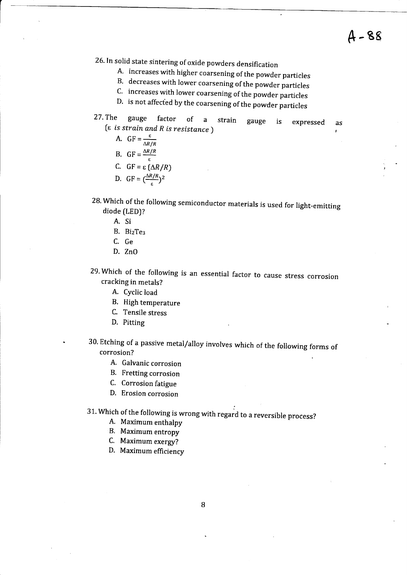- 26. In solid state sintering of oxide powders densification
	-
	-
	- B. decreases with lower coarsening of the powder particles<br>C. increases with lower coarsening of the powder particles<br>D. is not affected by the coarsening of the powder particles
- 27.The gauge factor of a strain (e is strain and R is resistance ) gauge is expressed as I
	- A.  $GF = \frac{\varepsilon}{\Delta R/R}$
	- B.  $GF = \frac{\Delta R/R}{\epsilon}$
	- C.  $GF = \varepsilon (\Delta R/R)$
	- D.  $GF = \left(\frac{\Delta R/R}{\epsilon}\right)^2$
	-
- 28. Which of the following semiconductor materials is used for light-emitting diode (LEDJ?
	- A. Si
	- B. BizTes
	- C. Ge
	- D. ZnO
- 29. Which of the following is an essential factor to cause stress corrosion cracking in metals?
	- A. Cyclic load
	- B. High temperature
	- C. Tensile stress
	- D. Pitting
- 30. Etching of a passive metal/alloy involves which of the following forms of corrosion?
	- A. Galvanic corrosion
	- B. Fretting corrosion
	- C. Corrosion fatigue
	- D. Erosion corrosion
- ; 31. which of the foilowing is wrong with regard to a reversible process? A. Maximum enthalpy
	- A. Maximum enthalpy<br>B. Maximum entropy
	-
	- C. Maximum exergy?
	- D. Maximum efficiency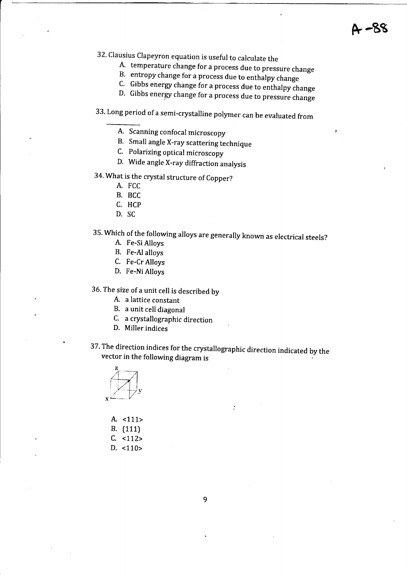- 32. Clausius Clapeyron equation is useful to calculate the<br>A. temperature change for a process due to pressure change<br>B. entropy change for a process due to enthalpy change<br>C. Gibbs energy change for a process due to entha
	-
	-
	- D. Gibbs energy change for a process due to pressure change

# 33. Long period of a semi-crystalline polymer can be evaluated from

- B. Small angle X-ray scattering technique
- C. Polarizing optical microscopy
- D. Wide angle X-ray diffraction analysis
- 34. What is the crystal structure of Copper?
	- A. FCC
	- B. BCC
	- C. HCP
	- D. SC

# 35. Which of the following alloys are generally known as electrical steels?<br>A. Fe-Si Alloys

- 
- B. Fe-Al alloys
- C. Fe-Cr Alloys
- D. Fe-Ni Alloys

36. The size of a unit cell is described by

- A. a lattice constant
- B. a unit cell diagonal
- C. a crystallographic direction
- D. Miller indices
- 37. The direction indices for the crystallographic direction indicated by the vector in the following diagram is

 $\ddot{\cdot}$ 



| А. | 111>  |
|----|-------|
| В. | (111) |
| C. | <112> |
| D. | <110> |

9

A. Scanning confocal microscopy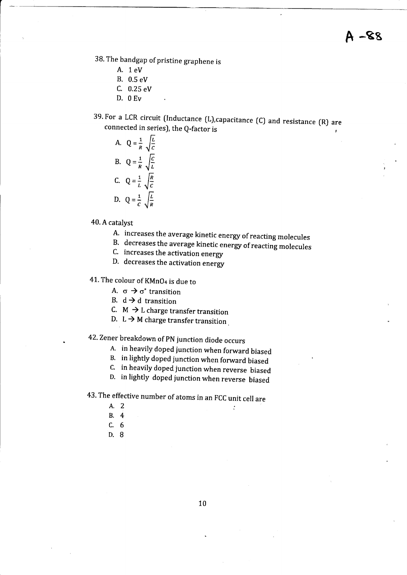38. The bandgap of pristine graphene is

- A. 1eV
- B. 0.5 eV
- C. 0.25 eV
- D. OEv
- 39. For a LCR circuit (Inductance (L), capacitance (C) and resistance (R) are connected in series), the O-factor is

A. 
$$
Q = \frac{1}{R} \sqrt{\frac{L}{C}}
$$
  
\nB.  $Q = \frac{1}{R} \sqrt{\frac{C}{L}}$   
\nC.  $Q = \frac{1}{L} \sqrt{\frac{R}{C}}$   
\nD.  $Q = \frac{1}{C} \sqrt{\frac{L}{R}}$ 

#### 40. A catalyst

- 
- A. increases the average kinetic energy of reacting molecules<br>B. decreases the average kinetic energy of reacting molecules<br>C. increases the activation energy
- 
- D. decreases the activation energy

## 41. The colour of KMnO<sub>4</sub> is due to

- A.  $\sigma \rightarrow \sigma^*$  transition
- B.  $d \rightarrow d$  transition
- C.  $M \rightarrow L$  charge transfer transition
- D.,  $L \rightarrow M$  charge transfer transition.

# 42.Zener breakdown of pN junction diode occurs

- 
- 
- A. in heavily doped junction when forward biased<br>B. in lightly doped junction when forward biased<br>C. in heavily doped junction when reverse biased
- D. in lightly doped junction when reverse biased

# 43. The effective number of atoms in an FCC unit cell are<br>A. 2

- 
- 8.4
- c.6
- D.B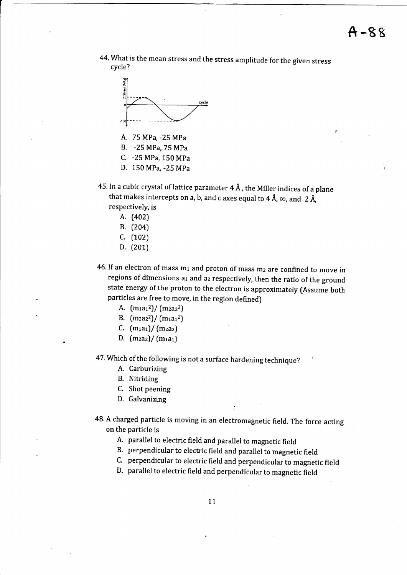



- A. 75 MPa, -25 MPa
- B. -25 MPa, 75 MPa
- C. -25 MPa, 150 MPa
- D. 150 MPa, -25 MPa
- 45. In a cubic crystal of lattice parameter  $4 \text{ Å}$ , the Miller indices of a plane that makes intercepts on a, b, and c axes equal to 4 Å,  $\infty$ , and 2 Å, respectively, is
	- A. (402)
	- B. (204)
	- c. (102)
	- D. (201J
- 46. If an electron of mass  $m_1$  and proton of mass  $m_2$  are confined to move in regions of dimensions  $a_1$  and  $a_2$  respectively, then the ratio of the ground state energy of the proton to the electron is approximately (Assume both particles are free to move, in the region defined)
	- A.  $(m<sub>1</sub>a<sub>1</sub><sup>2</sup>)/(m<sub>2</sub>a<sub>2</sub><sup>2</sup>)$
	- B.  $(m_{2a2}^2) / (m_{1a1}^2)$
	- C.  $(m<sub>1</sub>a<sub>1</sub>)/(m<sub>2</sub>a<sub>2</sub>)$
	- D.  $(m_2a_2)/(m_1a_1)$

47. which of the following is not a surface hardening technique?

- A. Carburizing
- B. Nitriding
- C. Shot peening
- D. Galvanizing
- 48. A charged particle is moving in an electromagnetic field. The force acting on the particle is
	- A. parallel to electric field and parallel to magnetic field
	- B. perpendicular to electric field and parallel to magnetic field
	- c. perpendicular to electric field and perpendicular to magnetic field
	- D. parallel to electric field and perpendicular to magnetic field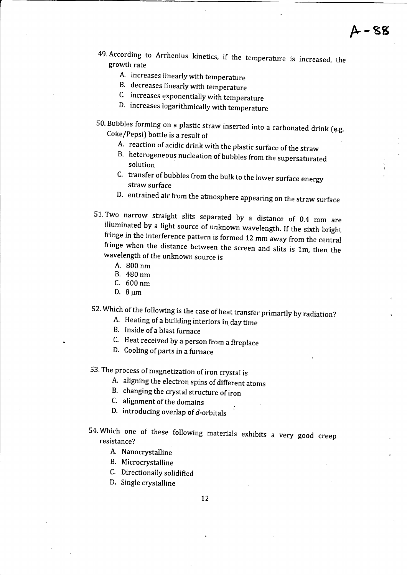- 49. According to Arrhenius kinetics, if the temperature is increased, the growth rate
	- A. increases linearly with temperature
	- B. decreases linearly with temperature
	- C. increases exponentially with temperature
	- D. increases logarithmically with temperature
- 50. Bubbles forming on a plastic straw inserted into a carbonated drink (q.g. Coke/Pepsi) bottle is a result of
	-
	- A. reaction of acidic drink with the plastic surface of the straw B. heterogeneous nucleation of bubbles from the supersaturated solution
	- C. transfer of bubbles from the bulk to the lower surface energy straw surface
	- D. entrained air from the atmosphere appearing on the straw surface
- 51. Two narrow straight slits separated by a distance of  $0.4$  mm are illuminated by a light source of unknown wavelength. If the sixth bright fringe in the interference pattern is formed 12 mm away from the central fring
	- A. B00nm
	- B. 480nm
	- C. 600nm
	- D.  $8 \mu m$

52. Which of the following is the case of heat transfer primarily by radiation?<br>A. Heating of a building interiors in day time

- 
- B, Inside of a blast furnace
- C. Heat received by a person from a fireplace
- D. Cooling of parts in a furnace

53. The process of magnetization of iron crystal is

- A. aligning the electron spins of different atoms
- B. changing the crystal structure of iron
- C. alignment of the domains
- D. introducing overlap of  $d$ -orbitals
- 54. Which one of these following materials exhibits a very good creep resistance?
	- A. Nanocrystalline
	- B. Microcrystalline
	- C. Directionally solidified
	- D. Single crystalline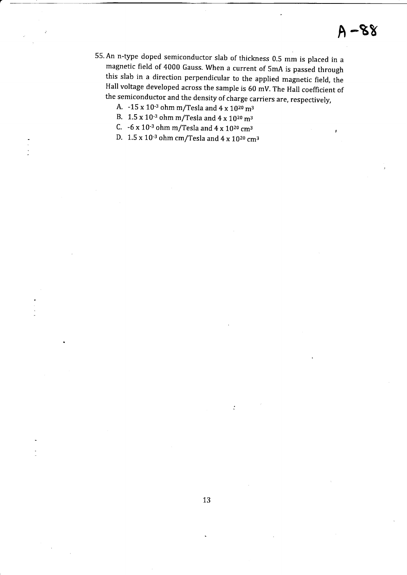- 55. An n-type doped semiconductor slab of thickness 0.5 mm is placed in <sup>a</sup> magnetic field of 4000 Gauss. when a current of SmA is passed through this slab in a direction perpendicular to the applied magnetic field, the Hall voltage developed across the sample is 60 mv. The Hall coefficient of the semiconductor and the density of charge carriers are, respectively,
	- A.  $-15 \times 10^{-3}$  ohm m/Tesla and  $4 \times 10^{20}$  m<sup>3</sup>
	- B.  $1.5 \times 10^{-3}$  ohm m/Tesla and  $4 \times 10^{20}$  m<sup>3</sup>
	- C.  $-6 \times 10^{-3}$  ohm m/Tesla and  $4 \times 10^{20}$  cm<sup>3</sup>
	- D. 1.5 x 10-3 ohm cm/Tesla and 4 x 1020 cm3